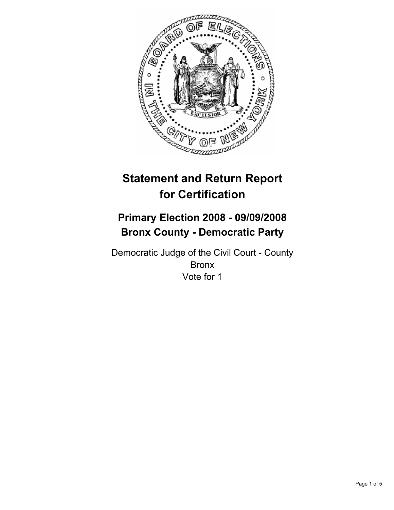

# **Statement and Return Report for Certification**

## **Primary Election 2008 - 09/09/2008 Bronx County - Democratic Party**

Democratic Judge of the Civil Court - County Bronx Vote for 1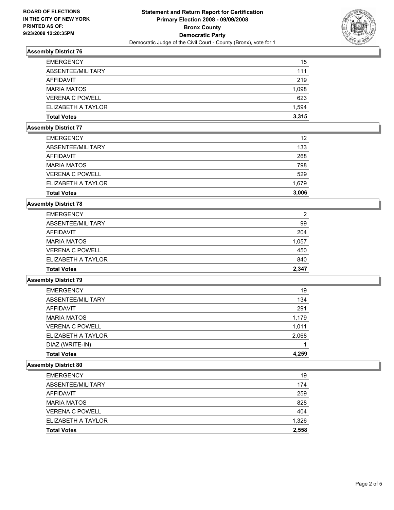

## **Assembly District 76**

| 15    |
|-------|
| 111   |
| 219   |
| 1,098 |
| 623   |
| 1,594 |
| 3,315 |
|       |

#### **Assembly District 77**

| ELIZABETH A TAYLOR<br><b>Total Votes</b> | 1,679<br>3,006 |
|------------------------------------------|----------------|
| <b>VERENA C POWELL</b>                   | 529            |
| <b>MARIA MATOS</b>                       | 798            |
| AFFIDAVIT                                | 268            |
| ABSENTEE/MILITARY                        | 133            |
| <b>EMERGENCY</b>                         | 12             |

## **Assembly District 78**

| <b>EMERGENCY</b>       | 2     |
|------------------------|-------|
| ABSENTEE/MILITARY      | 99    |
| AFFIDAVIT              | 204   |
| <b>MARIA MATOS</b>     | 1,057 |
| <b>VERENA C POWELL</b> | 450   |
| ELIZABETH A TAYLOR     | 840   |
| <b>Total Votes</b>     | 2,347 |

#### **Assembly District 79**

| <b>EMERGENCY</b>       | 19    |
|------------------------|-------|
| ABSENTEE/MILITARY      | 134   |
| AFFIDAVIT              | 291   |
| <b>MARIA MATOS</b>     | 1,179 |
| <b>VERENA C POWELL</b> | 1,011 |
| ELIZABETH A TAYLOR     | 2,068 |
| DIAZ (WRITE-IN)        |       |
| <b>Total Votes</b>     | 4,259 |

#### **Assembly District 80**

| <b>EMERGENCY</b>       | 19    |
|------------------------|-------|
| ABSENTEE/MILITARY      | 174   |
| AFFIDAVIT              | 259   |
| <b>MARIA MATOS</b>     | 828   |
| <b>VERENA C POWELL</b> | 404   |
| ELIZABETH A TAYLOR     | 1,326 |
| <b>Total Votes</b>     | 2,558 |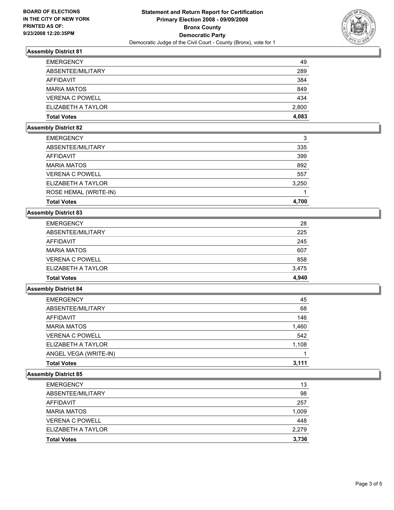

## **Assembly District 81**

| <b>EMERGENCY</b>       | 49    |
|------------------------|-------|
| ABSENTEE/MILITARY      | 289   |
| AFFIDAVIT              | 384   |
| <b>MARIA MATOS</b>     | 849   |
| <b>VERENA C POWELL</b> | 434   |
| ELIZABETH A TAYLOR     | 2,800 |
| <b>Total Votes</b>     | 4,083 |

#### **Assembly District 82**

| <b>EMERGENCY</b>       | 3     |
|------------------------|-------|
| ABSENTEE/MILITARY      | 335   |
| AFFIDAVIT              | 399   |
| <b>MARIA MATOS</b>     | 892   |
| <b>VERENA C POWELL</b> | 557   |
| ELIZABETH A TAYLOR     | 3,250 |
| ROSE HEMAL (WRITE-IN)  |       |
| <b>Total Votes</b>     | 4,700 |

## **Assembly District 83**

| <b>Total Votes</b>     | 4,940 |
|------------------------|-------|
| ELIZABETH A TAYLOR     | 3,475 |
| <b>VERENA C POWELL</b> | 858   |
| <b>MARIA MATOS</b>     | 607   |
| AFFIDAVIT              | 245   |
| ABSENTEE/MILITARY      | 225   |
| <b>EMERGENCY</b>       | 28    |

#### **Assembly District 84**

| <b>EMERGENCY</b>       | 45    |
|------------------------|-------|
| ABSENTEE/MILITARY      | 68    |
| AFFIDAVIT              | 146   |
| <b>MARIA MATOS</b>     | 1,460 |
| <b>VERENA C POWELL</b> | 542   |
| ELIZABETH A TAYLOR     | 1,108 |
| ANGEL VEGA (WRITE-IN)  |       |
| <b>Total Votes</b>     | 3,111 |

## **Assembly District 85**

| <b>EMERGENCY</b>       | 13    |
|------------------------|-------|
| ABSENTEE/MILITARY      | 98    |
| AFFIDAVIT              | 257   |
| <b>MARIA MATOS</b>     | 1,009 |
| <b>VERENA C POWELL</b> | 448   |
| ELIZABETH A TAYLOR     | 2,279 |
| <b>Total Votes</b>     | 3,736 |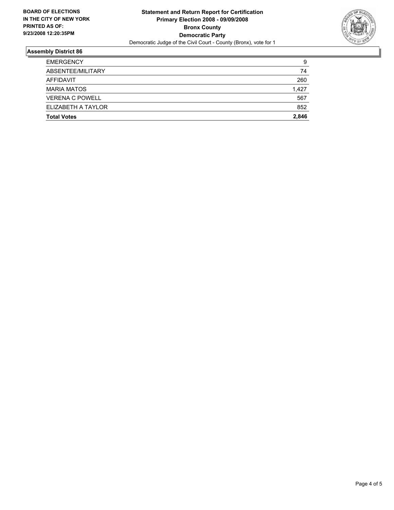

## **Assembly District 86**

| <b>EMERGENCY</b>       | 9     |
|------------------------|-------|
| ABSENTEE/MILITARY      | 74    |
| AFFIDAVIT              | 260   |
| <b>MARIA MATOS</b>     | 1,427 |
| <b>VERENA C POWELL</b> | 567   |
| ELIZABETH A TAYLOR     | 852   |
| <b>Total Votes</b>     | 2,846 |